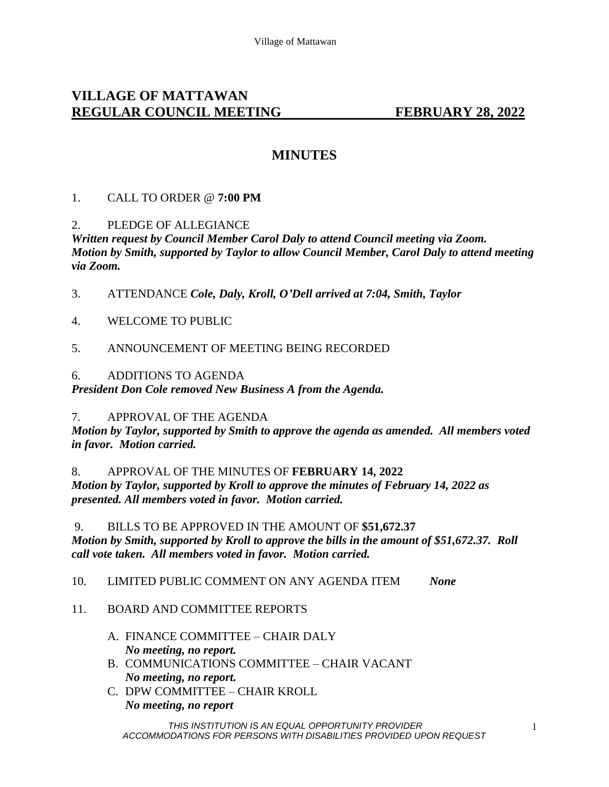# **VILLAGE OF MATTAWAN REGULAR COUNCIL MEETING FEBRUARY 28, 2022**

# **MINUTES**

# 1. CALL TO ORDER @ **7:00 PM**

### 2. PLEDGE OF ALLEGIANCE

*Written request by Council Member Carol Daly to attend Council meeting via Zoom. Motion by Smith, supported by Taylor to allow Council Member, Carol Daly to attend meeting via Zoom.* 

- 3. ATTENDANCE *Cole, Daly, Kroll, O'Dell arrived at 7:04, Smith, Taylor*
- 4. WELCOME TO PUBLIC
- 5. ANNOUNCEMENT OF MEETING BEING RECORDED
- 6. ADDITIONS TO AGENDA

*President Don Cole removed New Business A from the Agenda.* 

#### 7. APPROVAL OF THE AGENDA

*Motion by Taylor, supported by Smith to approve the agenda as amended. All members voted in favor. Motion carried.* 

8. APPROVAL OF THE MINUTES OF **FEBRUARY 14, 2022** *Motion by Taylor, supported by Kroll to approve the minutes of February 14, 2022 as presented. All members voted in favor. Motion carried.*

# 9. BILLS TO BE APPROVED IN THE AMOUNT OF **\$51,672.37** *Motion by Smith, supported by Kroll to approve the bills in the amount of \$51,672.37. Roll call vote taken. All members voted in favor. Motion carried.*

10. LIMITED PUBLIC COMMENT ON ANY AGENDA ITEM *None*

### 11. BOARD AND COMMITTEE REPORTS

- A. FINANCE COMMITTEE CHAIR DALY *No meeting, no report.* B. COMMUNICATIONS COMMITTEE – CHAIR VACANT
- *No meeting, no report.*
- C. DPW COMMITTEE CHAIR KROLL *No meeting, no report*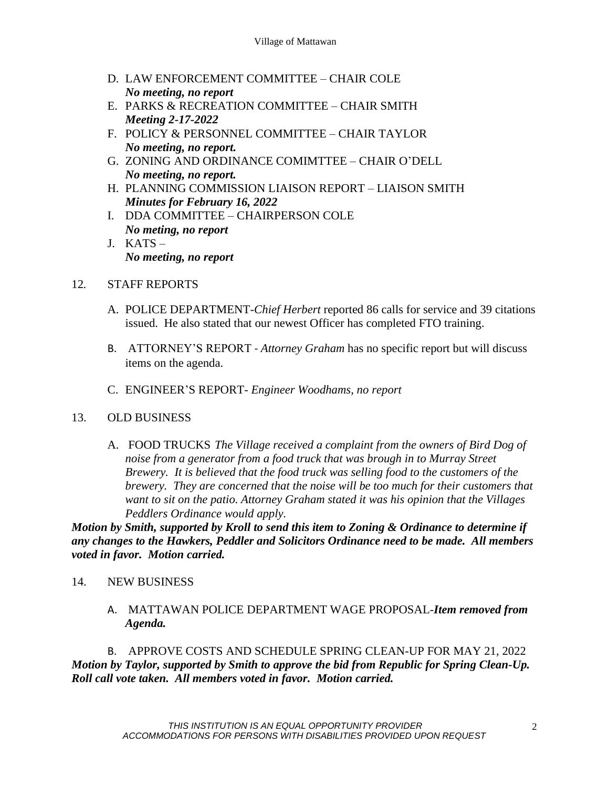- D. LAW ENFORCEMENT COMMITTEE CHAIR COLE *No meeting, no report*
- E. PARKS & RECREATION COMMITTEE CHAIR SMITH *Meeting 2-17-2022*
- F. POLICY & PERSONNEL COMMITTEE CHAIR TAYLOR *No meeting, no report.*
- G. ZONING AND ORDINANCE COMIMTTEE CHAIR O'DELL *No meeting, no report.*
- H. PLANNING COMMISSION LIAISON REPORT LIAISON SMITH *Minutes for February 16, 2022*
- I. DDA COMMITTEE CHAIRPERSON COLE *No meting, no report*
- J. KATS *No meeting, no report*

# 12*.* STAFF REPORTS

- A. POLICE DEPARTMENT-*Chief Herbert* reported 86 calls for service and 39 citations issued. He also stated that our newest Officer has completed FTO training.
- B. ATTORNEY'S REPORT *Attorney Graham* has no specific report but will discuss items on the agenda.
- C. ENGINEER'S REPORT- *Engineer Woodhams, no report*

### 13. OLD BUSINESS

A. FOOD TRUCKS *The Village received a complaint from the owners of Bird Dog of noise from a generator from a food truck that was brough in to Murray Street Brewery. It is believed that the food truck was selling food to the customers of the brewery. They are concerned that the noise will be too much for their customers that want to sit on the patio. Attorney Graham stated it was his opinion that the Villages Peddlers Ordinance would apply.* 

*Motion by Smith, supported by Kroll to send this item to Zoning & Ordinance to determine if any changes to the Hawkers, Peddler and Solicitors Ordinance need to be made. All members voted in favor. Motion carried.* 

### 14. NEW BUSINESS

A. MATTAWAN POLICE DEPARTMENT WAGE PROPOSAL-*Item removed from Agenda.* 

B. APPROVE COSTS AND SCHEDULE SPRING CLEAN-UP FOR MAY 21, 2022 *Motion by Taylor, supported by Smith to approve the bid from Republic for Spring Clean-Up. Roll call vote taken. All members voted in favor. Motion carried.*